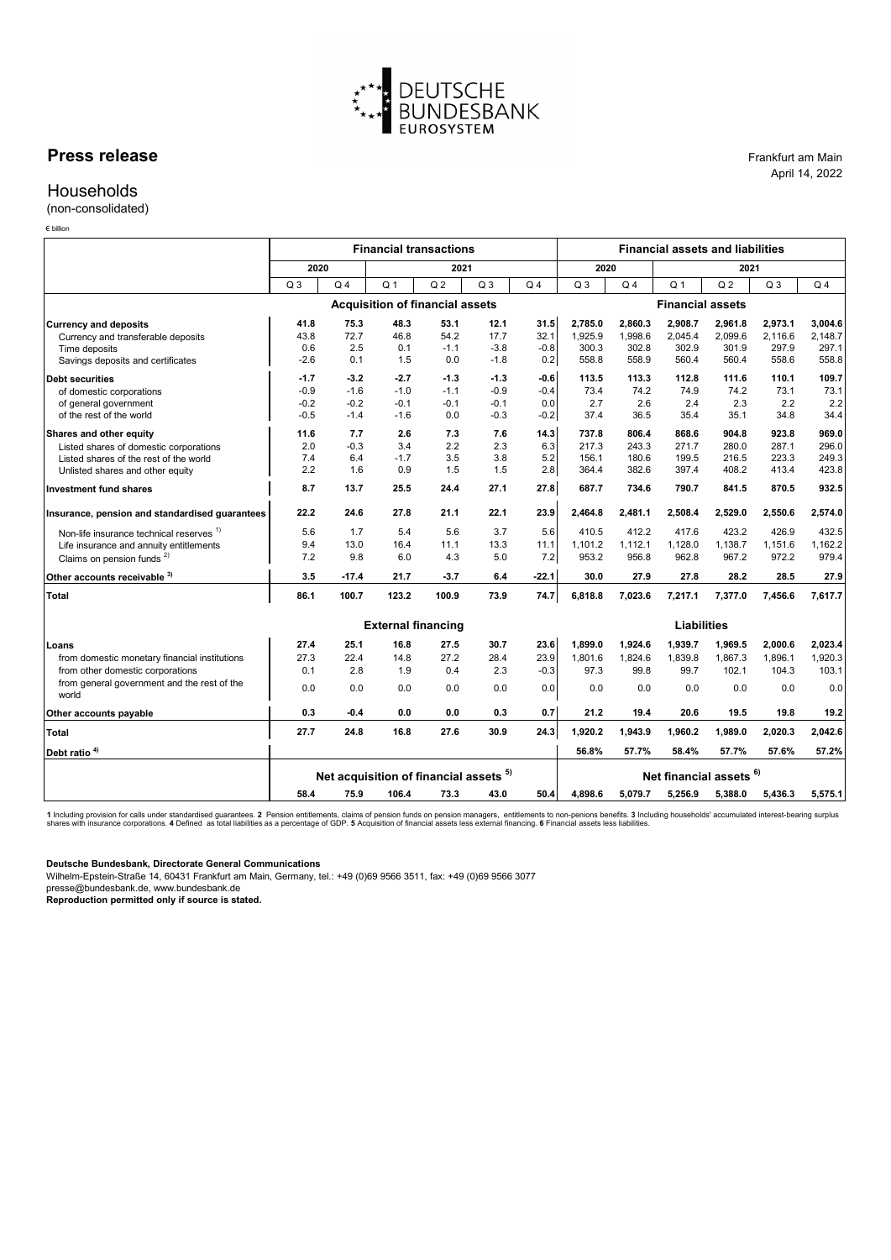

## **Press release** Frankfurt am Main

## Households

(non-consolidated)

€ billion

|                                                                                   | <b>Financial transactions</b>                     |                |                |                |                |                | <b>Financial assets and liabilities</b> |                |                         |                    |                    |                    |  |  |  |
|-----------------------------------------------------------------------------------|---------------------------------------------------|----------------|----------------|----------------|----------------|----------------|-----------------------------------------|----------------|-------------------------|--------------------|--------------------|--------------------|--|--|--|
|                                                                                   | 2020                                              |                | 2021           |                |                |                | 2020                                    |                |                         |                    |                    |                    |  |  |  |
|                                                                                   | Q <sub>3</sub>                                    | Q <sub>4</sub> | Q <sub>1</sub> | Q <sub>2</sub> | Q <sub>3</sub> | Q <sub>4</sub> | Q <sub>3</sub>                          | Q <sub>4</sub> | Q <sub>1</sub>          | Q <sub>2</sub>     | Q <sub>3</sub>     | Q <sub>4</sub>     |  |  |  |
|                                                                                   | <b>Acquisition of financial assets</b>            |                |                |                |                |                |                                         |                | <b>Financial assets</b> |                    |                    |                    |  |  |  |
| <b>Currency and deposits</b>                                                      | 41.8                                              | 75.3           | 48.3           | 53.1           | 12.1           | 31.5           | 2,785.0                                 | 2,860.3        | 2,908.7                 | 2,961.8            | 2,973.1            | 3,004.6            |  |  |  |
| Currency and transferable deposits                                                | 43.8                                              | 72.7           | 46.8           | 54.2           | 17.7           | 32.1           | 1.925.9                                 | 1.998.6        | 2.045.4                 | 2.099.6            | 2.116.6            | 2,148.7            |  |  |  |
| Time deposits                                                                     | 0.6                                               | 2.5            | 0.1            | $-1.1$         | $-3.8$         | $-0.8$         | 300.3                                   | 302.8          | 302.9                   | 301.9              | 297.9              | 297.1              |  |  |  |
| Savings deposits and certificates                                                 | $-2.6$                                            | 0.1            | 1.5            | 0.0            | $-1.8$         | 0.2            | 558.8                                   | 558.9          | 560.4                   | 560.4              | 558.6              | 558.8              |  |  |  |
| <b>Debt securities</b>                                                            | $-1.7$                                            | $-3.2$         | $-2.7$         | $-1.3$         | $-1.3$         | $-0.6$         | 113.5                                   | 113.3          | 112.8                   | 111.6              | 110.1              | 109.7              |  |  |  |
| of domestic corporations                                                          | $-0.9$                                            | $-1.6$         | $-1.0$         | $-1.1$         | $-0.9$         | $-0.4$         | 73.4                                    | 74.2           | 74.9                    | 74.2               | 73.1               | 73.1               |  |  |  |
| of general government                                                             | $-0.2$                                            | $-0.2$         | $-0.1$         | $-0.1$         | $-0.1$         | 0.0            | 2.7                                     | 2.6            | 2.4                     | 2.3                | 2.2                | 2.2                |  |  |  |
| of the rest of the world                                                          | $-0.5$                                            | $-1.4$         | $-1.6$         | 0.0            | $-0.3$         | $-0.2$         | 37.4                                    | 36.5           | 35.4                    | 35.1               | 34.8               | 34.4               |  |  |  |
| Shares and other equity                                                           | 11.6                                              | 7.7            | 2.6            | 7.3            | 7.6            | 14.3           | 737.8                                   | 806.4          | 868.6                   | 904.8              | 923.8              | 969.0              |  |  |  |
| Listed shares of domestic corporations                                            | 2.0                                               | $-0.3$         | 3.4            | 2.2            | 2.3            | 6.3            | 217.3                                   | 243.3          | 271.7                   | 280.0              | 287.1              | 296.0              |  |  |  |
| Listed shares of the rest of the world                                            | 7.4                                               | 6.4            | $-1.7$         | 3.5            | 3.8            | 5.2            | 156.1                                   | 180.6          | 199.5                   | 216.5              | 223.3              | 249.3              |  |  |  |
| Unlisted shares and other equity                                                  | 2.2                                               | 1.6            | 0.9            | 1.5            | 1.5            | 2.8            | 364.4                                   | 382.6          | 397.4                   | 408.2              | 413.4              | 423.8              |  |  |  |
| Investment fund shares                                                            | 8.7                                               | 13.7           | 25.5           | 24.4           | 27.1           | 27.8           | 687.7                                   | 734.6          | 790.7                   | 841.5              | 870.5              | 932.5              |  |  |  |
| Insurance, pension and standardised guarantees                                    | 22.2                                              | 24.6           | 27.8           | 21.1           | 22.1           | 23.9           | 2,464.8                                 | 2,481.1        | 2,508.4                 | 2,529.0            | 2,550.6            | 2,574.0            |  |  |  |
| Non-life insurance technical reserves <sup>1)</sup>                               | 5.6                                               | 1.7            | 5.4            | 5.6            | 3.7            | 5.6            | 410.5                                   | 412.2          | 417.6                   | 423.2              | 426.9              | 432.5              |  |  |  |
| Life insurance and annuity entitlements                                           | 9.4                                               | 13.0           | 16.4           | 11.1           | 13.3           | 11.1           | 1,101.2                                 | 1,112.1        | 1,128.0                 | 1,138.7            | 1,151.6            | 1,162.2            |  |  |  |
| Claims on pension funds <sup>2)</sup>                                             | 7.2                                               | 9.8            | 6.0            | 4.3            | 5.0            | 7.2            | 953.2                                   | 956.8          | 962.8                   | 967.2              | 972.2              | 979.4              |  |  |  |
| Other accounts receivable 3)                                                      | 3.5                                               | $-17.4$        | 21.7           | $-3.7$         | 6.4            | $-22.1$        | 30.0                                    | 27.9           | 27.8                    | 28.2               | 28.5               | 27.9               |  |  |  |
| <b>Total</b>                                                                      | 86.1                                              | 100.7          | 123.2          | 100.9          | 73.9           | 74.7           | 6,818.8                                 | 7,023.6        | 7,217.1                 | 7,377.0            | 7,456.6            | 7,617.7            |  |  |  |
|                                                                                   | <b>External financing</b>                         |                |                |                |                |                | <b>Liabilities</b>                      |                |                         |                    |                    |                    |  |  |  |
|                                                                                   | 27.4                                              | 25.1           | 16.8           | 27.5           | 30.7           | 23.6           | 1,899.0                                 | 1,924.6        |                         |                    |                    |                    |  |  |  |
| Loans                                                                             | 27.3                                              | 22.4           | 14.8           | 27.2           | 28.4           | 23.9           | 1.801.6                                 | 1,824.6        | 1,939.7<br>1,839.8      | 1,969.5<br>1.867.3 | 2,000.6<br>1.896.1 | 2,023.4<br>1,920.3 |  |  |  |
| from domestic monetary financial institutions<br>from other domestic corporations | 0.1                                               | 2.8            | 1.9            | 0.4            | 2.3            | $-0.3$         | 97.3                                    | 99.8           | 99.7                    | 102.1              | 104.3              | 103.1              |  |  |  |
|                                                                                   |                                                   |                |                |                |                |                |                                         |                |                         |                    |                    |                    |  |  |  |
| from general government and the rest of the<br>world                              | 0.0                                               | 0.0            | 0.0            | 0.0            | 0.0            | 0.0            | 0.0                                     | 0.0            | 0.0                     | 0.0                | 0.0                | 0.0                |  |  |  |
| Other accounts payable                                                            | 0.3                                               | $-0.4$         | 0.0            | 0.0            | 0.3            | 0.7            | 21.2                                    | 19.4           | 20.6                    | 19.5               | 19.8               | 19.2               |  |  |  |
| <b>Total</b>                                                                      | 27.7                                              | 24.8           | 16.8           | 27.6           | 30.9           | 24.3           | 1.920.2                                 | 1.943.9        | 1.960.2                 | 1.989.0            | 2.020.3            | 2,042.6            |  |  |  |
| Debt ratio <sup>4)</sup>                                                          |                                                   |                |                |                |                |                | 56.8%                                   | 57.7%          | 58.4%                   | 57.7%              | 57.6%              | 57.2%              |  |  |  |
|                                                                                   | Net acquisition of financial assets <sup>5)</sup> |                |                |                |                |                | Net financial assets <sup>6)</sup>      |                |                         |                    |                    |                    |  |  |  |
|                                                                                   | 58.4                                              | 75.9           | 106.4          | 73.3           | 43.0           | 50.4           | 4.898.6                                 | 5.079.7        | 5.256.9                 | 5,388.0            | 5,436.3            | 5,575.1            |  |  |  |

1 Including provision for calls under standardised guarantees. 2 Pension entitlements, claims of pension funds on pension managers, entitlements to non-penions benefits. 3 Including households' accumulated interest-bearing

**Deutsche Bundesbank, Directorate General Communications**

Wilhelm-Epstein-Straße 14, 60431 Frankfurt am Main, Germany, tel.: +49 (0)69 9566 3511, fax: +49 (0)69 9566 3077

presse@bundesbank.de, www.bundesbank.de **Reproduction permitted only if source is stated.** April 14, 2022